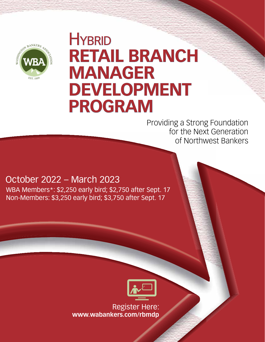

# **HYBRID RETAIL BRANCH MANAGER DEVELOPMENT PROGRAM**

Providing a Strong Foundation for the Next Generation of Northwest Bankers

# October 2022 – March 2023

WBA Members\*: \$2,250 early bird; \$2,750 after Sept. 17 Non-Members: \$3,250 early bird; \$3,750 after Sept. 17



Register Here: **www.wabankers.com/rbmdp**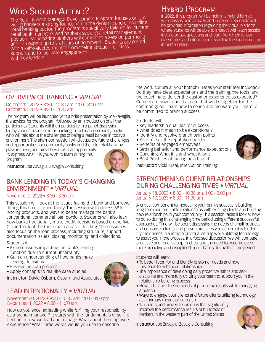# WHO SHOULD ATTEND?

The Retail Branch Manager Development Program focuses on providing bankers a strong foundation in the dynamic and demanding retail banking sector. The program is specifically tailored for current retail bank managers and bankers seeking a retail management position. Participating bankers will commit to a session per month and can expect up to six hours of homework. Students are paired with a self-selected mentor from their institution for class support and to facilitate engagement with key leaders.

## Hybrid Program

In 2022, this program will be held in a hybrid format, with classes held virtually and in-person. Students will be provided informaton regarding the virtual platform where students will be able to interact with each session instructor, ask questions and learn from their fellow classmates and information regarding the location of the in-person class.

### OVERVIEW OF BANKING • *VIRTUAL*

October 12, 2022 • 8:30 - 10:30 am; 1:00 - 3:00 pm October 13, 2022 • 8:30 - 11:30 am

The program will be launched with a brief presentation by Joe Zavaglia, the advisor for the program, followed by an introduction of all the participants. Students will then participate in a panel discussion led by various heads of retail banking from local community banks who will talk about the challenges of being a retail banker in today's environment. The afternoon session will discuss the future challenges and opportunities for community banks and the role retail banking

plays in these, and provide you with an opportunity to express what it is you wish to learn during this program.



Instructor: Joe Zavaglia, Zavaglia Consulting

#### BANK LENDING IN TODAY'S CHANGING ENVIRONMENT • *VIRTUAL*

#### November 2, 2022 • 8:30 - 3:30 pm

This session will look at the issues facing the bank and borrower during this time of uncertainty. The session will address SBA lending products, and ways to better manage the bank's conventional commercial loan portfolio. Students will also learn how banks traditionally make credit decisions based on the five C's and look at the three main areas of lending. The session will also focus on the loan process, including structure, support, documentation issues, closing, monitoring, and collections.

Students will:

- Explore issues impacting the bank's lending function due to current uncertainty
- Gain an understanding of how banks make lending decisions
- Review the loan process
- Apply concepts to real-life case studies

Instructor: David Osburn, Osburn and Associates

### LEAD INTENTIONALLY • *VIRTUAL*

#### November 30, 2022 • 8:30 - 10:30 am; 1:00 - 3:00 pm December 1, 2022 • 8:30 - 11:30 am

How do you excel at leading while fulfilling your responsibility as a branch manager? It starts with the fundamentals of self-reflection in how we lead and manage. What about the employee experience? What three words would you use to describe

the work culture at your branch? Does your staff feel included? Do they have clear expectations and the training, the tools, and the coaching to deliver the customer experience as expected? Come learn how to build a team that works together for the common good. Learn how to coach and motivate your team to be committed to branch success.

Students will:

- Key leadership qualities for success
- What does it mean to be exceptional?
- Identify and resolve branch pain points
- Your role as the reputation builder
- Benefits of engaged employees
- Setting behavior and performance expectations
- Coaching: What it is and what it isn't
- Best Practices of managing a branch

Instructor: Vicki Kraai, InterAction Training

### STRENGTHENING CLIENT RELATIONSHIPS DURING CHALLENGING TIMES • *VIRTUAL*

January 18, 2023 • 8:30 - 10:30 am; 1:00 - 3:00 pm January 19, 2023 • 8:30 - 11:30 am

A critical component to increasing your bank's success is building long-term and profitable relationships with existing clients and building new relationships in your community. This session takes a look at how to do so during this challenging time period using different successful approaches. Time will be spent discussing the needs of small business and consumer clients, and proven practices you can employ to identify their needs in a remote or virtual setting while utilizing technology to assist you in the process. In a focused discussion we will compare proactive and reactive approaches, and the need to become even more proactive and disciplined in our habits during this time period.

Students will learn:

- To better listen for and identify customer needs and how this leads to enhanced relationships
- The importance of developing daily proactive habits and self discipline and more fully utilizing your team to support you in the relationship building process
- How to balance the demands of producing results while managing a branch.
- Ways to engage your clients and future clients utilizing technology as a primary means of outreach
- To understand proven techniques that significantly improve the performance results of hundreds of bankers in the western part of the United States





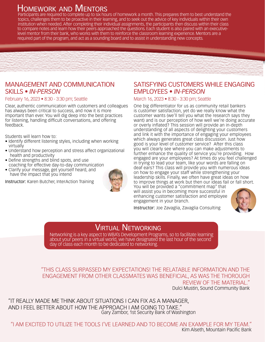# <u>Homework and Mentors</u>

Participants are required to complete up to six hours of homework a month. This prepares them to best understand the topics, challenges them to be proactive in their learning, and to seek out the advice of key individuals within their own institution when needed. After completing their individual assignments, the participants then discuss within their class to compare notes and learn how their peers approached the questions. Each student is also paired with an executivelevel mentor from their bank, who works with them to reinforce the classroom learning experience. Mentors are a required part of the program, and act as a sounding board and to assist in understanding new concepts.



#### MANAGEMENT AND COMMUNICATION SKILLS • *IN-PERSON*

#### February 16, 2023 • 8:30 - 3:30 pm; Seattle

Clear, authentic communication with customers and colleagues has always been critical to success, and now it is more important than ever. You will dig deep into the best practices for listening, handling difficult conversations, and offering feedback.

Students will learn how to:

- Identify different listening styles, including when working virtually
- Understand how perception and stress affect organizational health and productivity
- Define strengths and blind spots, and use coaching for effective day-to-day communication
- Clarify your message, get yourself heard, and have the impact that you intend

Instructor: Karen Butcher, InterAction Training



#### SATISFYING CUSTOMERS WHILE ENGAGING EMPLOYEES • *IN-PERSON*

#### March 16, 2023 • 8:30 - 3:30 pm; Seattle

One big differentiator for us as community retail bankers is customer satisfaction, yet do we really know what the customer wants (we'll tell you what the research says they want) and is our perception of how well we're doing accurate or overly inflated? This session will provide an in-depth understanding of all aspects of delighting your customers and link it with the importance of engaging your employees which always generates great class discussion. Just how good is your level of customer service? After this class you will clearly see where you can make adjustments to further enhance the quality of service you're providing. How engaged are your employees? At times do you feel challenged in trying to lead your team, like your words are falling on deaf ears? This class will provide you with numerous ideas on how to engage your staff while strengthening your leadership skills. Finally, we often have great ideas on how to improve things at work but then our ideas fail or fall short. You will be provided a "commitment map" that

will assist you in becoming more successful in enhancing customer satisfaction and employee engagement in your branch.



Instructor: Joe Zavaglia, Zavaglia Consulting

## **VIRTUAL NETWORKING**

Networking is a key aspect to WBA's Development Programs, so to facilitate learning about your peers in a virtual world, we have designated the last hour of the second day of class each month to be dedicated to networking.

"THIS CLASS SURPASSED MY EXPECTATIONS! THE RELATABLE INFORMATION AND THE ENGAGEMENT FROM OTHER CLASSMATES WAS BENEFICIAL, AS WAS THE THOROUGH REVIEW OF THE MATERIAL." Dulci Mustin, Sound Community Bank

"IT REALLY MADE ME THINK ABOUT SITUATIONS I CAN FIX AS A MANAGER, AND I FEEL BETTER ABOUT HOW THE APPROACH I AM GOING TO TAKE." Gary Zambor, 1st Security Bank of Washington

"I AM EXCITED TO UTILIZE THE TOOLS I'VE LEARNED AND TO BECOME AN EXAMPLE FOR MY TEAM." Kim Alseth, Mountain Pacific Bank